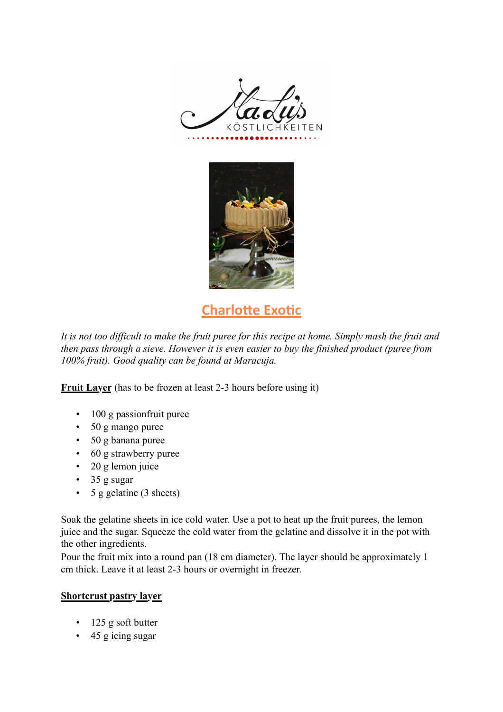



# **Charlotte Exotic**

*It is not too difficult to make the fruit puree for this recipe at home. Simply mash the fruit and then pass through a sieve. However it is even easier to buy the finished product (puree from 100% fruit). Good quality can be found at Maracuja.*

**Fruit Layer** (has to be frozen at least 2-3 hours before using it)

- 100 g passion fruit puree
- 50 g mango puree
- 50 g banana puree
- 60 g strawberry puree
- 20 g lemon juice
- 35 g sugar
- 5 g gelatine (3 sheets)

Soak the gelatine sheets in ice cold water. Use a pot to heat up the fruit purees, the lemon juice and the sugar. Squeeze the cold water from the gelatine and dissolve it in the pot with the other ingredients.

Pour the fruit mix into a round pan (18 cm diameter). The layer should be approximately 1 cm thick. Leave it at least 2-3 hours or overnight in freezer.

### **Shortcrust pastry layer**

- 125 g soft butter
- 45 g icing sugar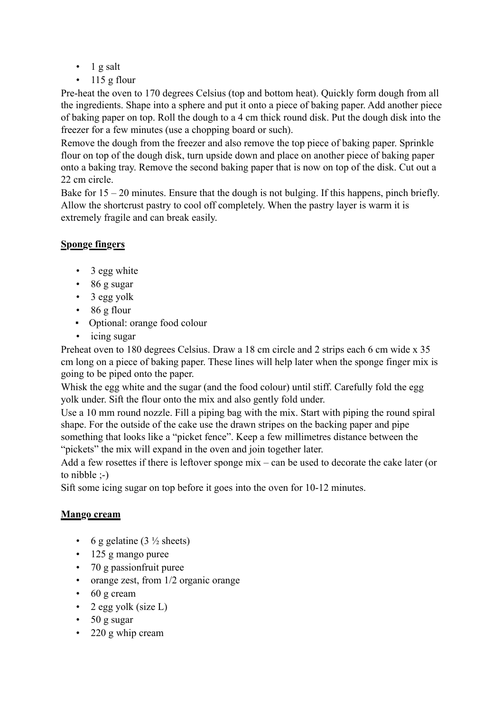- $\bullet$  1 g salt
- $\cdot$  115 g flour

Pre-heat the oven to 170 degrees Celsius (top and bottom heat). Quickly form dough from all the ingredients. Shape into a sphere and put it onto a piece of baking paper. Add another piece of baking paper on top. Roll the dough to a 4 cm thick round disk. Put the dough disk into the freezer for a few minutes (use a chopping board or such).

Remove the dough from the freezer and also remove the top piece of baking paper. Sprinkle flour on top of the dough disk, turn upside down and place on another piece of baking paper onto a baking tray. Remove the second baking paper that is now on top of the disk. Cut out a 22 cm circle.

Bake for  $15 - 20$  minutes. Ensure that the dough is not bulging. If this happens, pinch briefly. Allow the shortcrust pastry to cool off completely. When the pastry layer is warm it is extremely fragile and can break easily.

## **Sponge fingers**

- 3 egg white
- 86 g sugar
- 3 egg yolk
- $\cdot$  86 g flour
- Optional: orange food colour
- icing sugar

Preheat oven to 180 degrees Celsius. Draw a 18 cm circle and 2 strips each 6 cm wide x 35 cm long on a piece of baking paper. These lines will help later when the sponge finger mix is going to be piped onto the paper.

Whisk the egg white and the sugar (and the food colour) until stiff. Carefully fold the egg yolk under. Sift the flour onto the mix and also gently fold under.

Use a 10 mm round nozzle. Fill a piping bag with the mix. Start with piping the round spiral shape. For the outside of the cake use the drawn stripes on the backing paper and pipe something that looks like a "picket fence". Keep a few millimetres distance between the "pickets" the mix will expand in the oven and join together later.

Add a few rosettes if there is leftover sponge mix – can be used to decorate the cake later (or to nibble ;-)

Sift some icing sugar on top before it goes into the oven for 10-12 minutes.

## **Mango cream**

- 6 g gelatine  $(3\frac{1}{2}$  sheets)
- 125 g mango puree
- 70 g passionfruit puree
- orange zest, from 1/2 organic orange
- 60 g cream
- 2 egg yolk (size  $L$ )
- 50 g sugar
- 220 g whip cream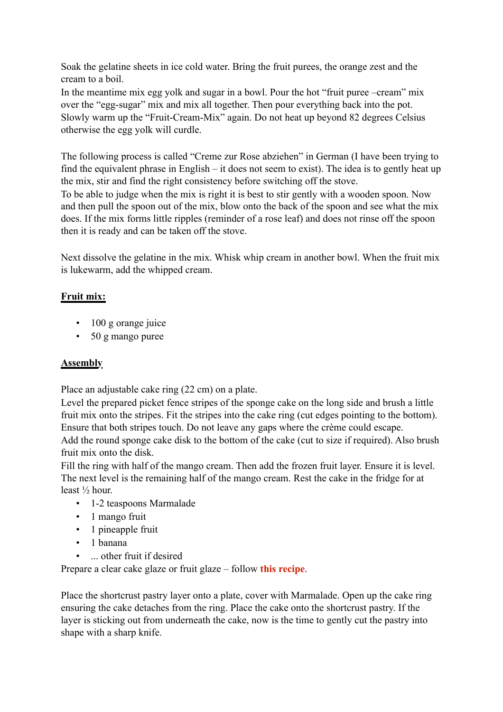Soak the gelatine sheets in ice cold water. Bring the fruit purees, the orange zest and the cream to a boil.

In the meantime mix egg yolk and sugar in a bowl. Pour the hot "fruit puree –cream" mix over the "egg-sugar" mix and mix all together. Then pour everything back into the pot. Slowly warm up the "Fruit-Cream-Mix" again. Do not heat up beyond 82 degrees Celsius otherwise the egg yolk will curdle.

The following process is called "Creme zur Rose abziehen" in German (I have been trying to find the equivalent phrase in English – it does not seem to exist). The idea is to gently heat up the mix, stir and find the right consistency before switching off the stove.

To be able to judge when the mix is right it is best to stir gently with a wooden spoon. Now and then pull the spoon out of the mix, blow onto the back of the spoon and see what the mix does. If the mix forms little ripples (reminder of a rose leaf) and does not rinse off the spoon then it is ready and can be taken off the stove.

Next dissolve the gelatine in the mix. Whisk whip cream in another bowl. When the fruit mix is lukewarm, add the whipped cream.

## **Fruit mix:**

- 100 g orange juice
- 50 g mango puree

### **Assembly**

Place an adjustable cake ring (22 cm) on a plate.

Level the prepared picket fence stripes of the sponge cake on the long side and brush a little fruit mix onto the stripes. Fit the stripes into the cake ring (cut edges pointing to the bottom). Ensure that both stripes touch. Do not leave any gaps where the crème could escape. Add the round sponge cake disk to the bottom of the cake (cut to size if required). Also brush

fruit mix onto the disk.

Fill the ring with half of the mango cream. Then add the frozen fruit layer. Ensure it is level. The next level is the remaining half of the mango cream. Rest the cake in the fridge for at least ½ hour.

- 1-2 teaspoons Marmalade
- 1 mango fruit
- 1 pineapple fruit
- 1 banana
- ... other fruit if desired

Prepare a clear cake glaze or fruit glaze – follow **this recipe**.

Place the shortcrust pastry layer onto a plate, cover with Marmalade. Open up the cake ring ensuring the cake detaches from the ring. Place the cake onto the shortcrust pastry. If the layer is sticking out from underneath the cake, now is the time to gently cut the pastry into shape with a sharp knife.